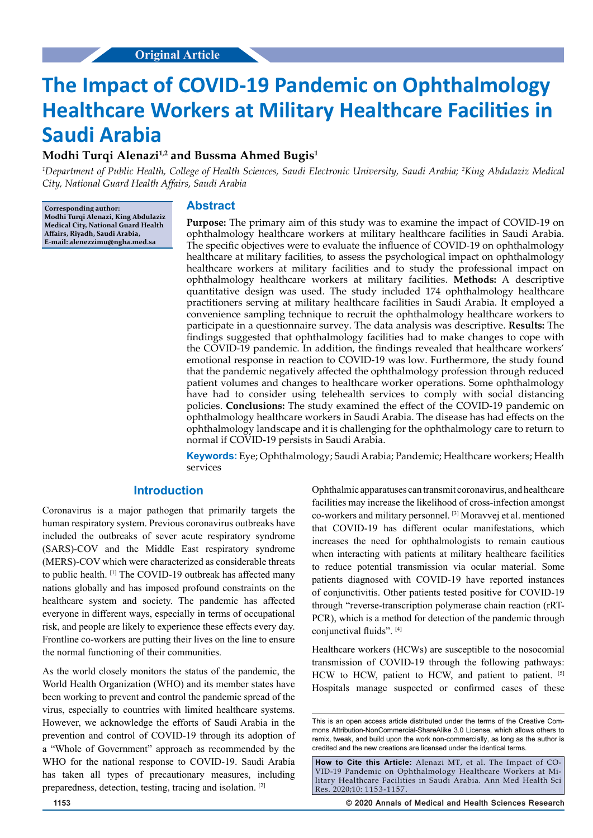# **The Impact of COVID-19 Pandemic on Ophthalmology Healthcare Workers at Military Healthcare Facilities in Saudi Arabia**

## **Modhi Turqi Alenazi1,2 and Bussma Ahmed Bugis1**

*1 Department of Public Health, College of Health Sciences, Saudi Electronic University, Saudi Arabia; 2 King Abdulaziz Medical City, National Guard Health Affairs, Saudi Arabia*

**Corresponding author: Modhi Turqi Alenazi, King Abdulaziz Medical City, National Guard Health Affairs, Riyadh, Saudi Arabia, E-mail: alenezzimu@ngha.med.sa**

## **Abstract**

**Purpose:** The primary aim of this study was to examine the impact of COVID-19 on ophthalmology healthcare workers at military healthcare facilities in Saudi Arabia. The specific objectives were to evaluate the influence of COVID-19 on ophthalmology healthcare at military facilities, to assess the psychological impact on ophthalmology healthcare workers at military facilities and to study the professional impact on ophthalmology healthcare workers at military facilities. **Methods:** A descriptive quantitative design was used. The study included 174 ophthalmology healthcare practitioners serving at military healthcare facilities in Saudi Arabia. It employed a convenience sampling technique to recruit the ophthalmology healthcare workers to participate in a questionnaire survey. The data analysis was descriptive. **Results:** The findings suggested that ophthalmology facilities had to make changes to cope with the COVID-19 pandemic. In addition, the findings revealed that healthcare workers' emotional response in reaction to COVID-19 was low. Furthermore, the study found that the pandemic negatively affected the ophthalmology profession through reduced patient volumes and changes to healthcare worker operations. Some ophthalmology have had to consider using telehealth services to comply with social distancing policies. **Conclusions:** The study examined the effect of the COVID-19 pandemic on ophthalmology healthcare workers in Saudi Arabia. The disease has had effects on the ophthalmology landscape and it is challenging for the ophthalmology care to return to normal if COVID-19 persists in Saudi Arabia.

Keywords: Eye; Ophthalmology; Saudi Arabia; Pandemic; Healthcare workers; Health services

## **Introduction**

Coronavirus is a major pathogen that primarily targets the human respiratory system. Previous coronavirus outbreaks have included the outbreaks of sever acute respiratory syndrome (SARS)-COV and the Middle East respiratory syndrome (MERS)-COV which were characterized as considerable threats to public health. [1] The COVID-19 outbreak has affected many nations globally and has imposed profound constraints on the healthcare system and society. The pandemic has affected everyone in different ways, especially in terms of occupational risk, and people are likely to experience these effects every day. Frontline co-workers are putting their lives on the line to ensure the normal functioning of their communities.

As the world closely monitors the status of the pandemic, the World Health Organization (WHO) and its member states have been working to prevent and control the pandemic spread of the virus, especially to countries with limited healthcare systems. However, we acknowledge the efforts of Saudi Arabia in the prevention and control of COVID-19 through its adoption of a "Whole of Government" approach as recommended by the WHO for the national response to COVID-19. Saudi Arabia has taken all types of precautionary measures, including preparedness, detection, testing, tracing and isolation. [2]

Ophthalmic apparatuses can transmit coronavirus, and healthcare facilities may increase the likelihood of cross-infection amongst co-workers and military personnel. [3] Moravvej et al. mentioned that COVID-19 has different ocular manifestations, which increases the need for ophthalmologists to remain cautious when interacting with patients at military healthcare facilities to reduce potential transmission via ocular material. Some patients diagnosed with COVID-19 have reported instances of conjunctivitis. Other patients tested positive for COVID-19 through "reverse-transcription polymerase chain reaction (rRT-PCR), which is a method for detection of the pandemic through conjunctival fluids". [4]

Healthcare workers (HCWs) are susceptible to the nosocomial transmission of COVID-19 through the following pathways: HCW to HCW, patient to HCW, and patient to patient. [5] Hospitals manage suspected or confirmed cases of these

**1153 © 2020 Annals of Medical and Health Sciences Research** 

This is an open access article distributed under the terms of the Creative Com‑ mons Attribution‑NonCommercial‑ShareAlike 3.0 License, which allows others to remix, tweak, and build upon the work non-commercially, as long as the author is credited and the new creations are licensed under the identical terms.

**How to Cite this Article:** Alenazi MT, et al. The Impact of CO-VID-19 Pandemic on Ophthalmology Healthcare Workers at Military Healthcare Facilities in Saudi Arabia. Ann Med Health Sci Res. 2020;10: 1153-1157.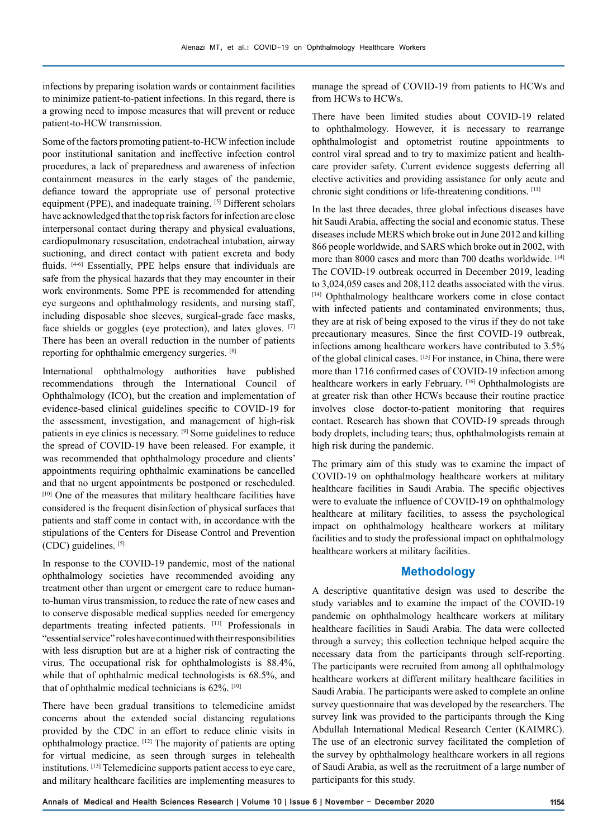infections by preparing isolation wards or containment facilities to minimize patient-to-patient infections. In this regard, there is a growing need to impose measures that will prevent or reduce patient-to-HCW transmission.

Some of the factors promoting patient-to-HCW infection include poor institutional sanitation and ineffective infection control procedures, a lack of preparedness and awareness of infection containment measures in the early stages of the pandemic, defiance toward the appropriate use of personal protective equipment (PPE), and inadequate training. [5] Different scholars have acknowledged that the top risk factors for infection are close interpersonal contact during therapy and physical evaluations, cardiopulmonary resuscitation, endotracheal intubation, airway suctioning, and direct contact with patient excreta and body fluids. [4-6] Essentially, PPE helps ensure that individuals are safe from the physical hazards that they may encounter in their work environments. Some PPE is recommended for attending eye surgeons and ophthalmology residents, and nursing staff, including disposable shoe sleeves, surgical-grade face masks, face shields or goggles (eye protection), and latex gloves. [7] There has been an overall reduction in the number of patients reporting for ophthalmic emergency surgeries. [8]

International ophthalmology authorities have published recommendations through the International Council of Ophthalmology (ICO), but the creation and implementation of evidence-based clinical guidelines specific to COVID-19 for the assessment, investigation, and management of high-risk patients in eye clinics is necessary. [9] Some guidelines to reduce the spread of COVID-19 have been released. For example, it was recommended that ophthalmology procedure and clients' appointments requiring ophthalmic examinations be cancelled and that no urgent appointments be postponed or rescheduled. [10] One of the measures that military healthcare facilities have considered is the frequent disinfection of physical surfaces that patients and staff come in contact with, in accordance with the stipulations of the Centers for Disease Control and Prevention (CDC) guidelines. [5]

In response to the COVID-19 pandemic, most of the national ophthalmology societies have recommended avoiding any treatment other than urgent or emergent care to reduce humanto-human virus transmission, to reduce the rate of new cases and to conserve disposable medical supplies needed for emergency departments treating infected patients. [11] Professionals in "essential service" roles have continued with their responsibilities with less disruption but are at a higher risk of contracting the virus. The occupational risk for ophthalmologists is 88.4%, while that of ophthalmic medical technologists is 68.5%, and that of ophthalmic medical technicians is 62%. [10]

There have been gradual transitions to telemedicine amidst concerns about the extended social distancing regulations provided by the CDC in an effort to reduce clinic visits in ophthalmology practice. [12] The majority of patients are opting for virtual medicine, as seen through surges in telehealth institutions. [13] Telemedicine supports patient access to eye care, and military healthcare facilities are implementing measures to manage the spread of COVID-19 from patients to HCWs and from HCWs to HCWs.

There have been limited studies about COVID-19 related to ophthalmology. However, it is necessary to rearrange ophthalmologist and optometrist routine appointments to control viral spread and to try to maximize patient and healthcare provider safety. Current evidence suggests deferring all elective activities and providing assistance for only acute and chronic sight conditions or life-threatening conditions. [11]

In the last three decades, three global infectious diseases have hit Saudi Arabia, affecting the social and economic status. These diseases include MERS which broke out in June 2012 and killing 866 people worldwide, and SARS which broke out in 2002, with more than 8000 cases and more than 700 deaths worldwide. [14] The COVID-19 outbreak occurred in December 2019, leading to 3,024,059 cases and 208,112 deaths associated with the virus. [14] Ophthalmology healthcare workers come in close contact with infected patients and contaminated environments; thus, they are at risk of being exposed to the virus if they do not take precautionary measures. Since the first COVID-19 outbreak, infections among healthcare workers have contributed to 3.5% of the global clinical cases. [15] For instance, in China, there were more than 1716 confirmed cases of COVID-19 infection among healthcare workers in early February. [16] Ophthalmologists are at greater risk than other HCWs because their routine practice involves close doctor-to-patient monitoring that requires contact. Research has shown that COVID-19 spreads through body droplets, including tears; thus, ophthalmologists remain at high risk during the pandemic.

The primary aim of this study was to examine the impact of COVID-19 on ophthalmology healthcare workers at military healthcare facilities in Saudi Arabia. The specific objectives were to evaluate the influence of COVID-19 on ophthalmology healthcare at military facilities, to assess the psychological impact on ophthalmology healthcare workers at military facilities and to study the professional impact on ophthalmology healthcare workers at military facilities.

## **Methodology**

A descriptive quantitative design was used to describe the study variables and to examine the impact of the COVID-19 pandemic on ophthalmology healthcare workers at military healthcare facilities in Saudi Arabia. The data were collected through a survey; this collection technique helped acquire the necessary data from the participants through self-reporting. The participants were recruited from among all ophthalmology healthcare workers at different military healthcare facilities in Saudi Arabia. The participants were asked to complete an online survey questionnaire that was developed by the researchers. The survey link was provided to the participants through the King Abdullah International Medical Research Center (KAIMRC). The use of an electronic survey facilitated the completion of the survey by ophthalmology healthcare workers in all regions of Saudi Arabia, as well as the recruitment of a large number of participants for this study.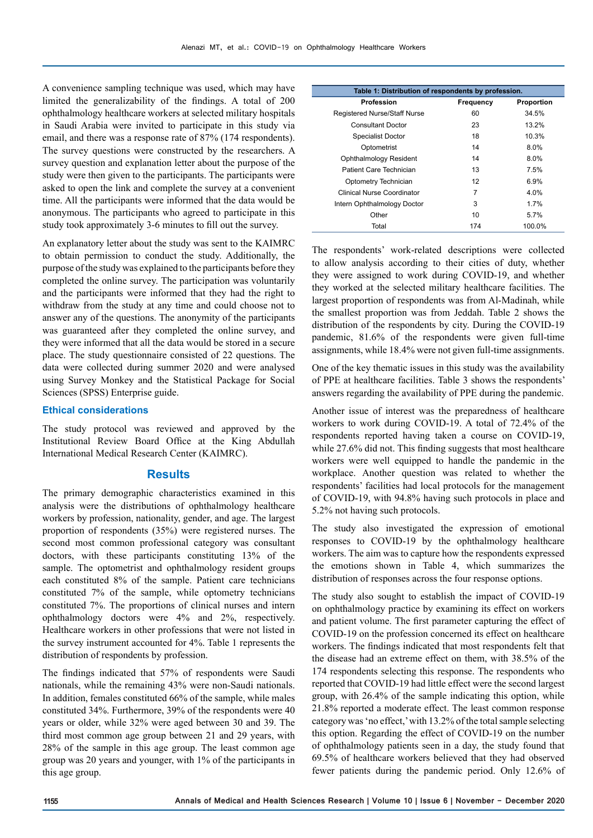A convenience sampling technique was used, which may have limited the generalizability of the findings. A total of 200 ophthalmology healthcare workers at selected military hospitals in Saudi Arabia were invited to participate in this study via email, and there was a response rate of 87% (174 respondents). The survey questions were constructed by the researchers. A survey question and explanation letter about the purpose of the study were then given to the participants. The participants were asked to open the link and complete the survey at a convenient time. All the participants were informed that the data would be anonymous. The participants who agreed to participate in this study took approximately 3-6 minutes to fill out the survey.

An explanatory letter about the study was sent to the KAIMRC to obtain permission to conduct the study. Additionally, the purpose of the study was explained to the participants before they completed the online survey. The participation was voluntarily and the participants were informed that they had the right to withdraw from the study at any time and could choose not to answer any of the questions. The anonymity of the participants was guaranteed after they completed the online survey, and they were informed that all the data would be stored in a secure place. The study questionnaire consisted of 22 questions. The data were collected during summer 2020 and were analysed using Survey Monkey and the Statistical Package for Social Sciences (SPSS) Enterprise guide.

#### **Ethical considerations**

The study protocol was reviewed and approved by the Institutional Review Board Office at the King Abdullah International Medical Research Center (KAIMRC).

#### **Results**

The primary demographic characteristics examined in this analysis were the distributions of ophthalmology healthcare workers by profession, nationality, gender, and age. The largest proportion of respondents (35%) were registered nurses. The second most common professional category was consultant doctors, with these participants constituting 13% of the sample. The optometrist and ophthalmology resident groups each constituted 8% of the sample. Patient care technicians constituted 7% of the sample, while optometry technicians constituted 7%. The proportions of clinical nurses and intern ophthalmology doctors were 4% and 2%, respectively. Healthcare workers in other professions that were not listed in the survey instrument accounted for 4%. Table 1 represents the distribution of respondents by profession.

The findings indicated that 57% of respondents were Saudi nationals, while the remaining 43% were non-Saudi nationals. In addition, females constituted 66% of the sample, while males constituted 34%. Furthermore, 39% of the respondents were 40 years or older, while 32% were aged between 30 and 39. The third most common age group between 21 and 29 years, with 28% of the sample in this age group. The least common age group was 20 years and younger, with 1% of the participants in this age group.

| Table 1: Distribution of respondents by profession. |           |            |  |
|-----------------------------------------------------|-----------|------------|--|
| <b>Profession</b>                                   | Frequency | Proportion |  |
| Registered Nurse/Staff Nurse                        | 60        | 34.5%      |  |
| <b>Consultant Doctor</b>                            | 23        | 13.2%      |  |
| <b>Specialist Doctor</b>                            | 18        | 10.3%      |  |
| Optometrist                                         | 14        | $8.0\%$    |  |
| Ophthalmology Resident                              | 14        | $8.0\%$    |  |
| Patient Care Technician                             | 13        | $7.5\%$    |  |
| Optometry Technician                                | 12        | 6.9%       |  |
| Clinical Nurse Coordinator                          | 7         | 4.0%       |  |
| Intern Ophthalmology Doctor                         | 3         | 1.7%       |  |
| Other                                               | 10        | 5.7%       |  |
| Total                                               | 174       | 100.0%     |  |

The respondents' work-related descriptions were collected to allow analysis according to their cities of duty, whether they were assigned to work during COVID-19, and whether they worked at the selected military healthcare facilities. The largest proportion of respondents was from Al-Madinah, while the smallest proportion was from Jeddah. Table 2 shows the distribution of the respondents by city. During the COVID-19 pandemic, 81.6% of the respondents were given full-time assignments, while 18.4% were not given full-time assignments.

One of the key thematic issues in this study was the availability of PPE at healthcare facilities. Table 3 shows the respondents' answers regarding the availability of PPE during the pandemic.

Another issue of interest was the preparedness of healthcare workers to work during COVID-19. A total of 72.4% of the respondents reported having taken a course on COVID-19, while 27.6% did not. This finding suggests that most healthcare workers were well equipped to handle the pandemic in the workplace. Another question was related to whether the respondents' facilities had local protocols for the management of COVID-19, with 94.8% having such protocols in place and 5.2% not having such protocols.

The study also investigated the expression of emotional responses to COVID-19 by the ophthalmology healthcare workers. The aim was to capture how the respondents expressed the emotions shown in Table 4, which summarizes the distribution of responses across the four response options.

The study also sought to establish the impact of COVID-19 on ophthalmology practice by examining its effect on workers and patient volume. The first parameter capturing the effect of COVID-19 on the profession concerned its effect on healthcare workers. The findings indicated that most respondents felt that the disease had an extreme effect on them, with 38.5% of the 174 respondents selecting this response. The respondents who reported that COVID-19 had little effect were the second largest group, with 26.4% of the sample indicating this option, while 21.8% reported a moderate effect. The least common response category was 'no effect,' with 13.2% of the total sample selecting this option. Regarding the effect of COVID-19 on the number of ophthalmology patients seen in a day, the study found that 69.5% of healthcare workers believed that they had observed fewer patients during the pandemic period. Only 12.6% of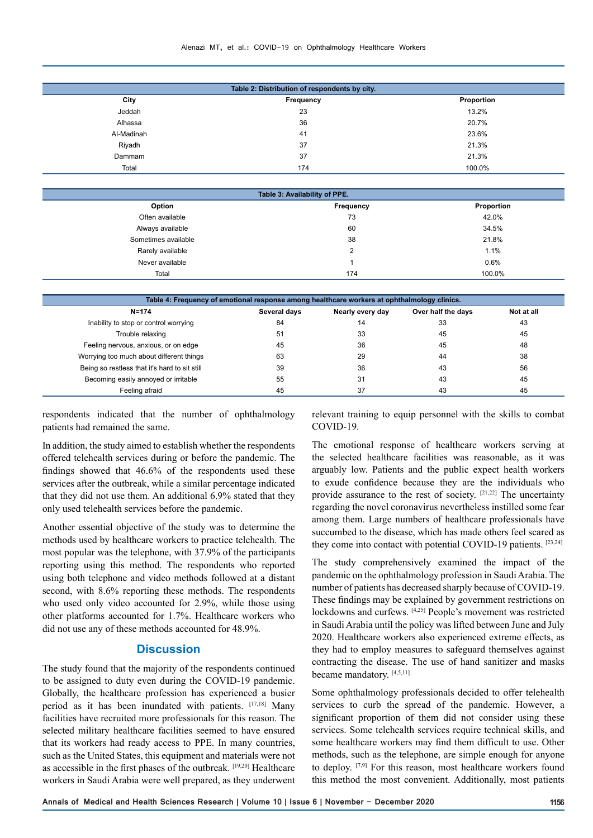| Alenazi MT, et al.: COVID-19 on Ophthalmology Healthcare Workers |  |  |  |
|------------------------------------------------------------------|--|--|--|
|------------------------------------------------------------------|--|--|--|

|            | Table 2: Distribution of respondents by city. |            |
|------------|-----------------------------------------------|------------|
| City       | Frequency                                     | Proportion |
| Jeddah     | 23                                            | 13.2%      |
| Alhassa    | 36                                            | 20.7%      |
| Al-Madinah | 41                                            | 23.6%      |
| Riyadh     | 37                                            | 21.3%      |
| Dammam     | 37                                            | 21.3%      |
| Total      | 174                                           | 100.0%     |
|            |                                               |            |

| Table 3: Availability of PPE. |           |            |  |  |
|-------------------------------|-----------|------------|--|--|
| Option                        | Frequency | Proportion |  |  |
| Often available               | 73        | 42.0%      |  |  |
| Always available              | 60        | 34.5%      |  |  |
| Sometimes available           | 38        | 21.8%      |  |  |
| Rarely available              | 2         | 1.1%       |  |  |
| Never available               |           | 0.6%       |  |  |
| Total                         | 174       | 100.0%     |  |  |
|                               |           |            |  |  |

| Table 4: Frequency of emotional response among healthcare workers at ophthalmology clinics. |              |                  |                    |            |  |
|---------------------------------------------------------------------------------------------|--------------|------------------|--------------------|------------|--|
| N=174                                                                                       | Several days | Nearly every day | Over half the days | Not at all |  |
| Inability to stop or control worrying                                                       | 84           | 14               | 33                 | 43         |  |
| Trouble relaxing                                                                            | 51           | 33               | 45                 | 45         |  |
| Feeling nervous, anxious, or on edge                                                        | 45           | 36               | 45                 | 48         |  |
| Worrying too much about different things                                                    | 63           | 29               | 44                 | 38         |  |
| Being so restless that it's hard to sit still                                               | 39           | 36               | 43                 | 56         |  |
| Becoming easily annoyed or irritable                                                        | 55           | 31               | 43                 | 45         |  |
| Feeling afraid                                                                              | 45           | 37               | 43                 | 45         |  |

respondents indicated that the number of ophthalmology patients had remained the same.

In addition, the study aimed to establish whether the respondents offered telehealth services during or before the pandemic. The findings showed that 46.6% of the respondents used these services after the outbreak, while a similar percentage indicated that they did not use them. An additional 6.9% stated that they only used telehealth services before the pandemic.

Another essential objective of the study was to determine the methods used by healthcare workers to practice telehealth. The most popular was the telephone, with 37.9% of the participants reporting using this method. The respondents who reported using both telephone and video methods followed at a distant second, with 8.6% reporting these methods. The respondents who used only video accounted for 2.9%, while those using other platforms accounted for 1.7%. Healthcare workers who did not use any of these methods accounted for 48.9%.

### **Discussion**

The study found that the majority of the respondents continued to be assigned to duty even during the COVID-19 pandemic. Globally, the healthcare profession has experienced a busier period as it has been inundated with patients. [17,18] Many facilities have recruited more professionals for this reason. The selected military healthcare facilities seemed to have ensured that its workers had ready access to PPE. In many countries, such as the United States, this equipment and materials were not as accessible in the first phases of the outbreak. [19,20] Healthcare workers in Saudi Arabia were well prepared, as they underwent relevant training to equip personnel with the skills to combat COVID-19.

The emotional response of healthcare workers serving at the selected healthcare facilities was reasonable, as it was arguably low. Patients and the public expect health workers to exude confidence because they are the individuals who provide assurance to the rest of society. [21,22] The uncertainty regarding the novel coronavirus nevertheless instilled some fear among them. Large numbers of healthcare professionals have succumbed to the disease, which has made others feel scared as they come into contact with potential COVID-19 patients. [23,24]

The study comprehensively examined the impact of the pandemic on the ophthalmology profession in Saudi Arabia. The number of patients has decreased sharply because of COVID-19. These findings may be explained by government restrictions on lockdowns and curfews. [4,25] People's movement was restricted in Saudi Arabia until the policy was lifted between June and July 2020. Healthcare workers also experienced extreme effects, as they had to employ measures to safeguard themselves against contracting the disease. The use of hand sanitizer and masks became mandatory. [4,5,11]

Some ophthalmology professionals decided to offer telehealth services to curb the spread of the pandemic. However, a significant proportion of them did not consider using these services. Some telehealth services require technical skills, and some healthcare workers may find them difficult to use. Other methods, such as the telephone, are simple enough for anyone to deploy. <a>[7,9]</a> For this reason, most healthcare workers found this method the most convenient. Additionally, most patients